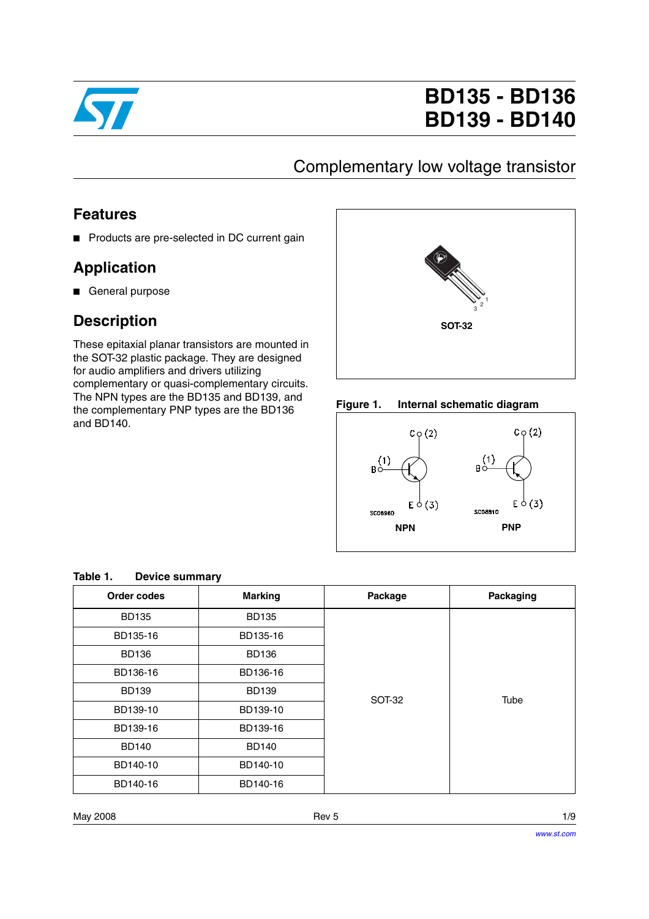

# **BD135 - BD136 BD139 - BD140**

## Complementary low voltage transistor

#### **Features**

■ Products are pre-selected in DC current gain

## **Application**

■ General purpose

### **Description**

These epitaxial planar transistors are mounted in the SOT-32 plastic package. They are designed for audio amplifiers and drivers utilizing complementary or quasi-complementary circuits. The NPN types are the BD135 and BD139, and the complementary PNP types are the BD136 and BD140.



#### **Figure 1. Internal schematic diagram**



| Order codes  | <b>Marking</b><br>Package |               | Packaging |  |  |
|--------------|---------------------------|---------------|-----------|--|--|
| <b>BD135</b> | <b>BD135</b>              |               |           |  |  |
| BD135-16     | BD135-16                  |               |           |  |  |
| <b>BD136</b> | <b>BD136</b>              |               |           |  |  |
| BD136-16     | BD136-16                  |               |           |  |  |
| <b>BD139</b> | <b>BD139</b>              | <b>SOT-32</b> | Tube      |  |  |
| BD139-10     | BD139-10                  |               |           |  |  |
| BD139-16     | BD139-16                  |               |           |  |  |
| <b>BD140</b> | <b>BD140</b>              |               |           |  |  |
| BD140-10     | BD140-10                  |               |           |  |  |
| BD140-16     | BD140-16                  |               |           |  |  |

#### **Table 1. Device summary**

May 2008 Rev 5 1/9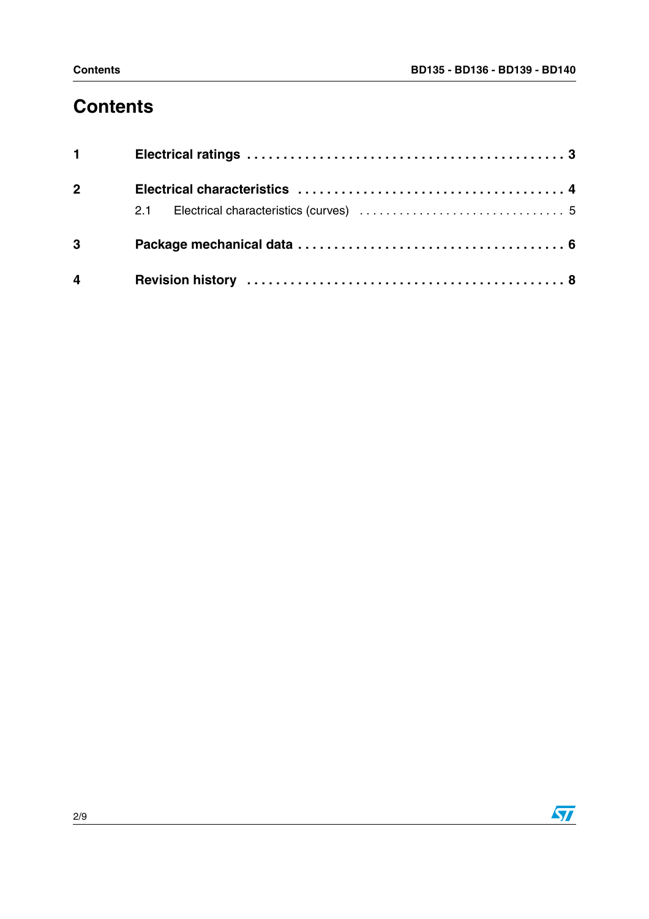# **Contents**

| $1 \quad \Box$ |  |
|----------------|--|
| $2^{\sim}$     |  |
|                |  |
| $3^{\circ}$    |  |
| $\overline{4}$ |  |

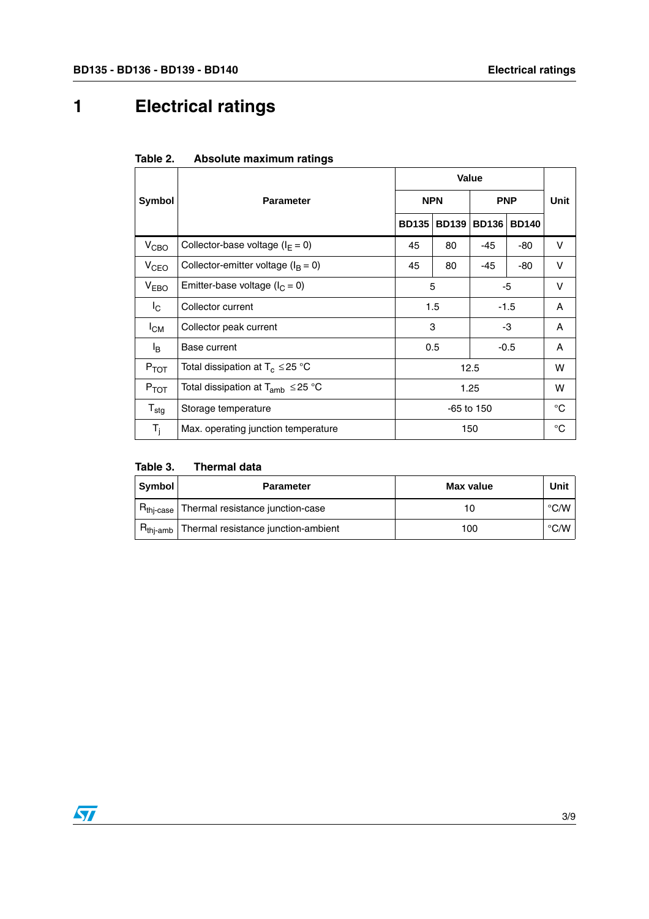# <span id="page-2-0"></span>**1 Electrical ratings**

| Table 2. | Absolute maximum ratings |  |
|----------|--------------------------|--|
|----------|--------------------------|--|

|                         | <b>Parameter</b>                          |              | Value        |              |              |    |  |
|-------------------------|-------------------------------------------|--------------|--------------|--------------|--------------|----|--|
| Symbol                  |                                           |              | <b>NPN</b>   |              | <b>PNP</b>   |    |  |
|                         |                                           | <b>BD135</b> | <b>BD139</b> | <b>BD136</b> | <b>BD140</b> |    |  |
| V <sub>CBO</sub>        | Collector-base voltage ( $I_F = 0$ )      | 45           | 80           | $-45$        | -80          | V  |  |
| V <sub>CEO</sub>        | Collector-emitter voltage ( $I_B = 0$ )   | 45           | 80           | -45          | -80          | V  |  |
| V <sub>EBO</sub>        | Emitter-base voltage ( $I_C = 0$ )        |              | 5            |              | $-5$         |    |  |
| $\mathsf{I}_\mathsf{C}$ | Collector current                         | 1.5          |              | $-1.5$       |              | A  |  |
| $I_{CM}$                | Collector peak current                    |              | 3            |              | -3           |    |  |
| l <sub>B</sub>          | Base current                              |              | 0.5          |              | $-0.5$       |    |  |
| $P_{TOT}$               | Total dissipation at $T_c \leq 25$ °C     | 12.5         |              |              |              | W  |  |
| $P_{TOT}$               | Total dissipation at $T_{amb} \leq 25$ °C |              | 1.25         |              |              | W  |  |
| $T_{\text{stg}}$        | Storage temperature                       |              | $-65$ to 150 |              |              | °C |  |
| $T_i$                   | Max. operating junction temperature       | 150          |              |              | $^{\circ}C$  |    |  |

| Table 3. | <b>Thermal data</b> |  |
|----------|---------------------|--|
|          |                     |  |

| Symbol               | <b>Parameter</b>                             | Max value | Unit           |
|----------------------|----------------------------------------------|-----------|----------------|
|                      | $Rthi-case$ Thermal resistance junction-case |           | $^{\circ}$ C/W |
| $R_{\text{thi-amb}}$ | Thermal resistance junction-ambient          | 100       | $\degree$ C/W  |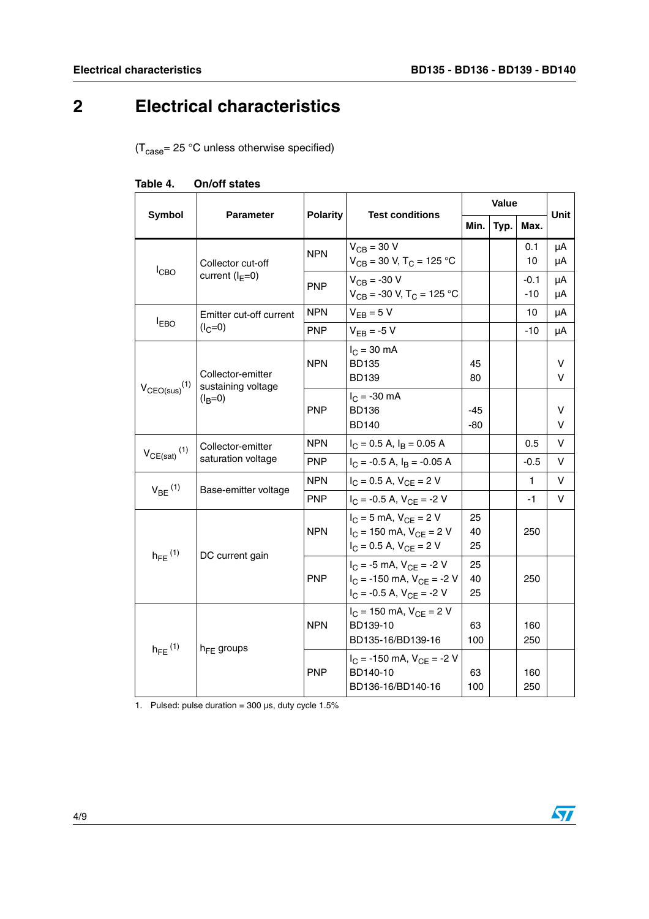# <span id="page-3-0"></span>**2 Electrical characteristics**

 $(T_{\text{case}} = 25 \text{ °C}$  unless otherwise specified)

|                                                 | <b>Parameter</b>                                     | <b>Polarity</b>                 |                                                                                                       | <b>Value</b>   |      |                 | Unit     |
|-------------------------------------------------|------------------------------------------------------|---------------------------------|-------------------------------------------------------------------------------------------------------|----------------|------|-----------------|----------|
| <b>Symbol</b>                                   |                                                      |                                 | <b>Test conditions</b>                                                                                | Min.           | Typ. | Max.            |          |
|                                                 | Collector cut-off                                    | <b>NPN</b>                      | $V_{CB}$ = 30 V<br>$V_{CB}$ = 30 V, T <sub>C</sub> = 125 °C                                           |                |      | 0.1<br>10       | μA<br>μA |
| $I_{CBO}$                                       | current $(I_F=0)$                                    | <b>PNP</b>                      | $V_{CB} = -30 V$<br>$V_{CB}$ = -30 V, T <sub>C</sub> = 125 °C                                         |                |      | $-0.1$<br>$-10$ | μA<br>μA |
|                                                 | Emitter cut-off current                              | <b>NPN</b>                      | $V_{EB} = 5 V$                                                                                        |                |      | 10              | μA       |
| $I_{EBO}$                                       | $(I_C=0)$                                            | <b>PNP</b>                      | $V_{FB}$ = -5 V                                                                                       |                |      | $-10$           | μA       |
| $V_{CEO(sus)}$ <sup>(1)</sup>                   | Collector-emitter<br>sustaining voltage<br>$(I_B=0)$ | <b>NPN</b>                      | $I_{C}$ = 30 mA<br><b>BD135</b><br><b>BD139</b>                                                       | 45<br>80       |      |                 | v<br>v   |
|                                                 |                                                      | <b>PNP</b>                      | $I_C = -30$ mA<br><b>BD136</b><br><b>BD140</b>                                                        | -45<br>-80     |      |                 | v<br>v   |
|                                                 | Collector-emitter                                    | NPN                             | $I_C = 0.5$ A, $I_B = 0.05$ A                                                                         |                |      | 0.5             | v        |
| $V_{CE(sat)}$ <sup>(1)</sup>                    | saturation voltage                                   | <b>PNP</b>                      | $I_C$ = -0.5 A, $I_B$ = -0.05 A                                                                       |                |      | $-0.5$          | V        |
| $V_{BE}$ <sup>(1)</sup><br>Base-emitter voltage |                                                      | <b>NPN</b>                      | $I_C = 0.5$ A, $V_{CF} = 2$ V                                                                         |                |      | $\mathbf{1}$    | V        |
|                                                 | <b>PNP</b>                                           | $I_C = -0.5$ A, $V_{CE} = -2$ V |                                                                                                       |                | $-1$ | V               |          |
| $h_{FE}$ <sup>(1)</sup>                         | DC current gain                                      | <b>NPN</b>                      | $I_C = 5$ mA, $V_{CF} = 2$ V<br>$I_C = 150$ mA, $V_{CE} = 2$ V<br>$I_C = 0.5$ A, $V_{CE} = 2$ V       | 25<br>40<br>25 |      | 250             |          |
|                                                 |                                                      | <b>PNP</b>                      | $I_C = -5$ mA, $V_{CF} = -2$ V<br>$I_C$ = -150 mA, $V_{CF}$ = -2 V<br>$I_C = -0.5$ A, $V_{CE} = -2$ V | 25<br>40<br>25 |      | 250             |          |
| $h_{FE}$ <sup>(1)</sup>                         |                                                      | <b>NPN</b>                      | $I_C = 150$ mA, $V_{CF} = 2$ V<br>BD139-10<br>BD135-16/BD139-16                                       | 63<br>100      |      | 160<br>250      |          |
|                                                 | $h_{FE}$ groups                                      | <b>PNP</b>                      | $I_C = -150$ mA, $V_{CE} = -2$ V<br>BD140-10<br>BD136-16/BD140-16                                     | 63<br>100      |      | 160<br>250      |          |

| Table 4. | On/off states |  |
|----------|---------------|--|
|----------|---------------|--|

1. Pulsed: pulse duration =  $300 \,\mu s$ , duty cycle  $1.5\%$ 

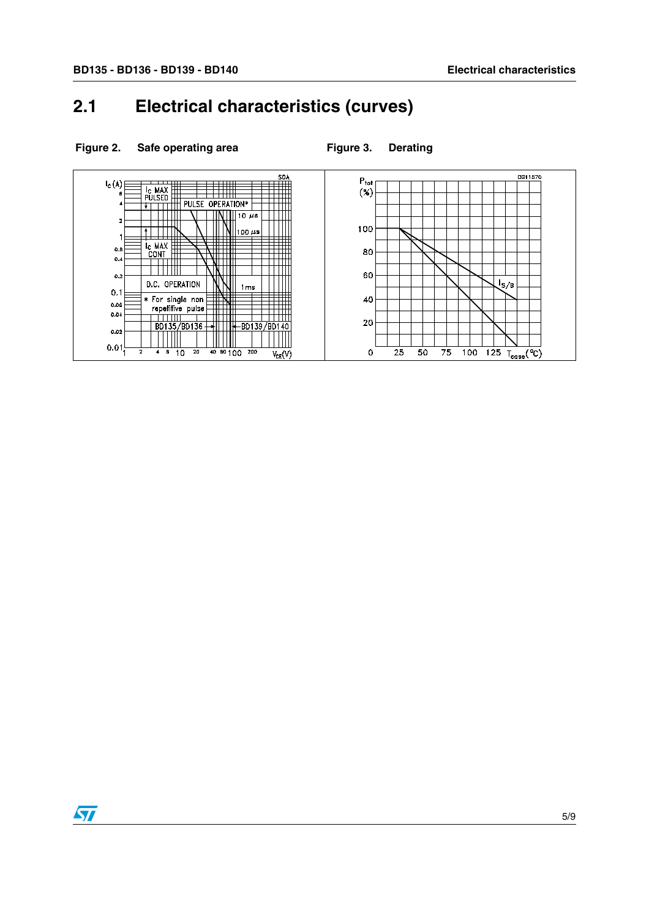## <span id="page-4-0"></span>**2.1 Electrical characteristics (curves)**



#### Figure 2. Safe operating area **Figure 3.** Derating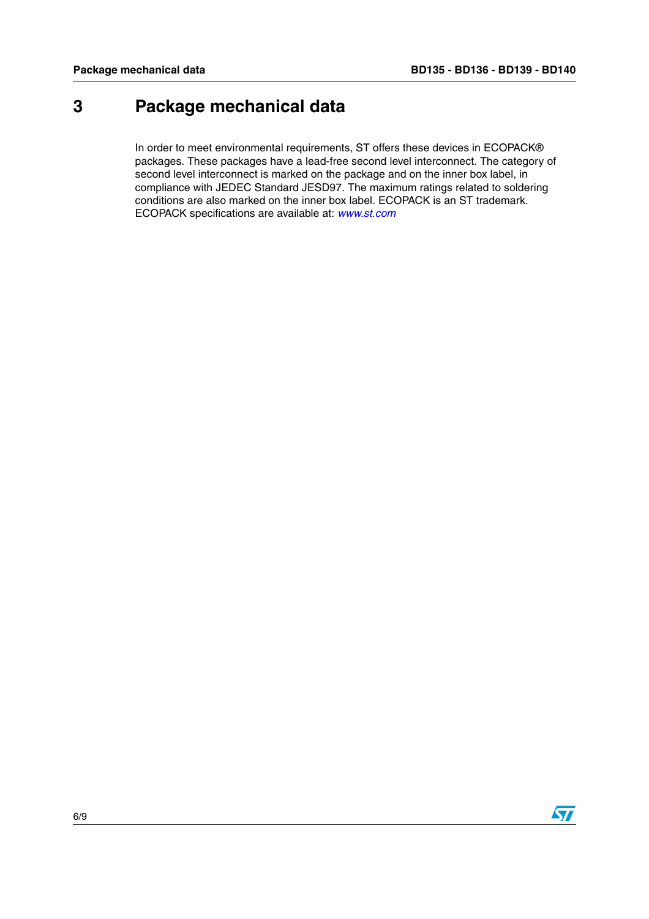## <span id="page-5-0"></span>**3 Package mechanical data**

In order to meet environmental requirements, ST offers these devices in ECOPACK® packages. These packages have a lead-free second level interconnect. The category of second level interconnect is marked on the package and on the inner box label, in compliance with JEDEC Standard JESD97. The maximum ratings related to soldering conditions are also marked on the inner box label. ECOPACK is an ST trademark. ECOPACK specifications are available at: *[www.st.com](http://www.st.com)*

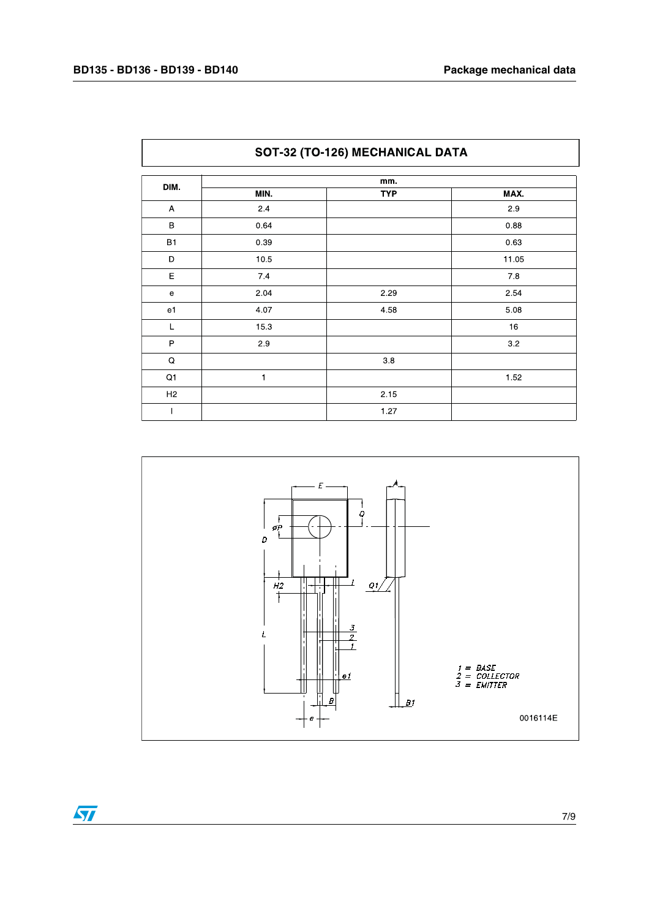$\lceil$ 

| SOT-32 (TO-126) MECHANICAL DATA |      |            |       |  |
|---------------------------------|------|------------|-------|--|
| DIM.                            |      | mm.        |       |  |
|                                 | MIN. | <b>TYP</b> | MAX.  |  |
| A                               | 2.4  |            | 2.9   |  |
| $\, {\bf B}$                    | 0.64 |            | 0.88  |  |
| <b>B1</b>                       | 0.39 |            | 0.63  |  |
| D                               | 10.5 |            | 11.05 |  |
| E                               | 7.4  |            | 7.8   |  |
| e                               | 2.04 | 2.29       | 2.54  |  |
| e1                              | 4.07 | 4.58       | 5.08  |  |
| L                               | 15.3 |            | 16    |  |
| P                               | 2.9  |            | 3.2   |  |
| Q                               |      | 3.8        |       |  |
| Q1                              | 1    |            | 1.52  |  |
| H <sub>2</sub>                  |      | 2.15       |       |  |
|                                 |      | 1.27       |       |  |



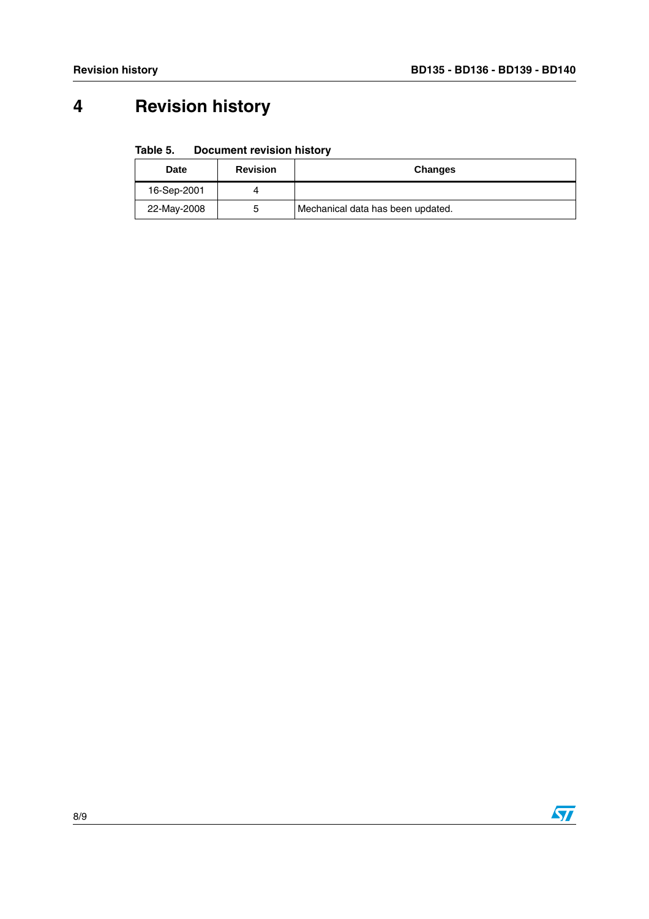# <span id="page-7-0"></span>**4 Revision history**

#### Table 5. **Document revision history**

| <b>Date</b> | <b>Revision</b> | <b>Changes</b>                    |
|-------------|-----------------|-----------------------------------|
| 16-Sep-2001 |                 |                                   |
| 22-May-2008 | 5               | Mechanical data has been updated. |